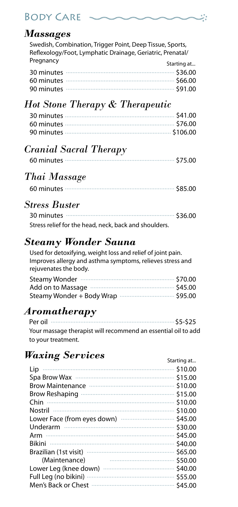# Body Care

#### *Massages*

Swedish, Combination, Trigger Point, Deep Tissue, Sports, Reflexology/Foot, Lymphatic Drainage, Geriatric, Prenatal/ Pregnancy Starting at 21

# *Hot Stone Therapy & Therapeutic*

## *Cranial Sacral Therapy*

|--|--|--|--|--|

## *Thai Massage*

|--|--|--|--|

#### *Stress Buster*

| Stress relief for the head, neck, back and shoulders. |  |
|-------------------------------------------------------|--|

## *Steamy Wonder Sauna*

Used for detoxifying, weight loss and relief of joint pain. Improves allergy and asthma symptoms, relieves stress and rejuvenates the body.

| Steamy Wonder manufactured and \$70.00      |  |
|---------------------------------------------|--|
| Add on to Massage manufactured with \$45.00 |  |
|                                             |  |

## *Aromatherapy*

| Your massage therapist will recommend an essential oil to add |  |
|---------------------------------------------------------------|--|
| to your treatment.                                            |  |

## *Waxing Services*

|                       | Starting at |
|-----------------------|-------------|
| Lip                   |             |
|                       |             |
|                       |             |
|                       |             |
|                       | \$10.00     |
|                       | \$10.00     |
|                       | \$45.00     |
|                       | \$30.00     |
| Arm                   | \$45.00     |
| Bikini                | \$40.00     |
|                       | \$65.00     |
| (Maintenance)         | \$50.00     |
| Lower Leg (knee down) | \$40.00     |
| Full Leg (no bikini)  |             |
| Men's Back or Chest   |             |